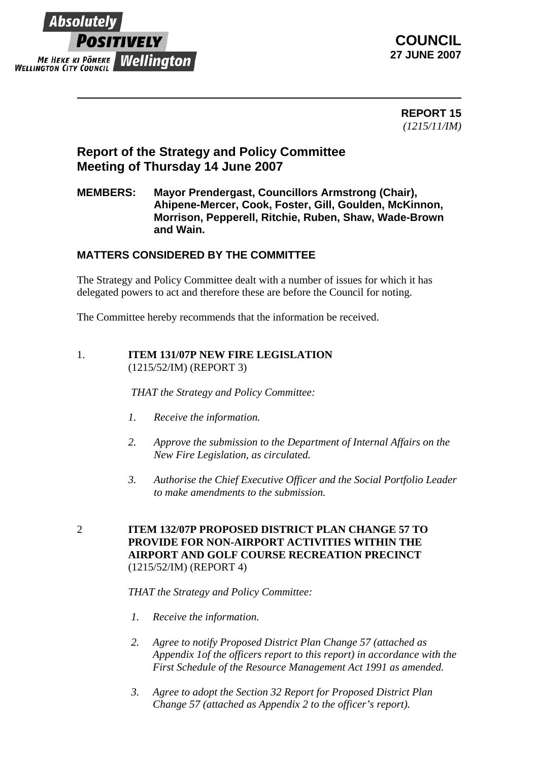

 **REPORT 15** *(1215/11/IM)*

# **Report of the Strategy and Policy Committee Meeting of Thursday 14 June 2007**

### **MEMBERS: Mayor Prendergast, Councillors Armstrong (Chair), Ahipene-Mercer, Cook, Foster, Gill, Goulden, McKinnon, Morrison, Pepperell, Ritchie, Ruben, Shaw, Wade-Brown and Wain.**

## **MATTERS CONSIDERED BY THE COMMITTEE**

The Strategy and Policy Committee dealt with a number of issues for which it has delegated powers to act and therefore these are before the Council for noting.

The Committee hereby recommends that the information be received.

1. **ITEM 131/07P NEW FIRE LEGISLATION** (1215/52/IM) (REPORT 3)

*THAT the Strategy and Policy Committee:*

- *1. Receive the information.*
- *2. Approve the submission to the Department of Internal Affairs on the New Fire Legislation, as circulated.*
- *3. Authorise the Chief Executive Officer and the Social Portfolio Leader to make amendments to the submission.*
- 2 **ITEM 132/07P PROPOSED DISTRICT PLAN CHANGE 57 TO PROVIDE FOR NON-AIRPORT ACTIVITIES WITHIN THE AIRPORT AND GOLF COURSE RECREATION PRECINCT**  (1215/52/IM) (REPORT 4)

#### *THAT the Strategy and Policy Committee:*

- *1. Receive the information.*
- *2. Agree to notify Proposed District Plan Change 57 (attached as Appendix 1of the officers report to this report) in accordance with the First Schedule of the Resource Management Act 1991 as amended.*
- *3. Agree to adopt the Section 32 Report for Proposed District Plan Change 57 (attached as Appendix 2 to the officer's report).*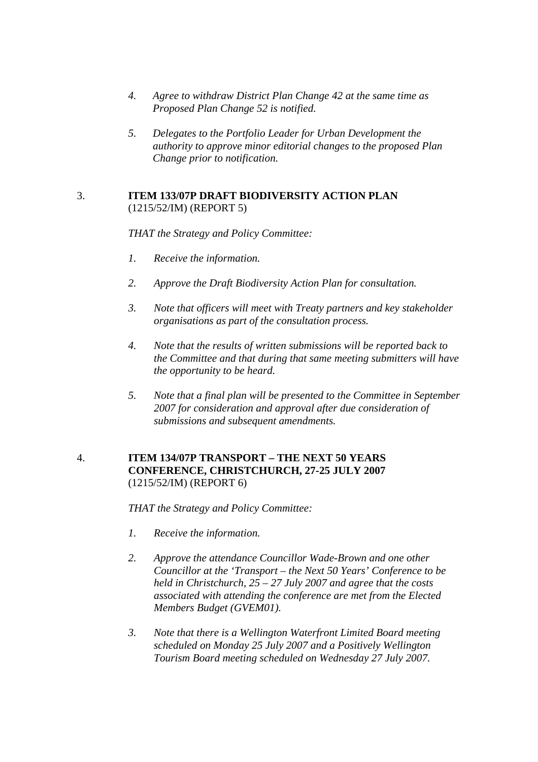- *4. Agree to withdraw District Plan Change 42 at the same time as Proposed Plan Change 52 is notified.*
- *5. Delegates to the Portfolio Leader for Urban Development the authority to approve minor editorial changes to the proposed Plan Change prior to notification.*

#### 3. **ITEM 133/07P DRAFT BIODIVERSITY ACTION PLAN** (1215/52/IM) (REPORT 5)

#### *THAT the Strategy and Policy Committee:*

- *1. Receive the information.*
- *2. Approve the Draft Biodiversity Action Plan for consultation.*
- *3. Note that officers will meet with Treaty partners and key stakeholder organisations as part of the consultation process.*
- *4. Note that the results of written submissions will be reported back to the Committee and that during that same meeting submitters will have the opportunity to be heard.*
- *5. Note that a final plan will be presented to the Committee in September 2007 for consideration and approval after due consideration of submissions and subsequent amendments.*

#### 4. **ITEM 134/07P TRANSPORT – THE NEXT 50 YEARS CONFERENCE, CHRISTCHURCH, 27-25 JULY 2007**  (1215/52/IM) (REPORT 6)

*THAT the Strategy and Policy Committee:*

- *1. Receive the information.*
- *2. Approve the attendance Councillor Wade-Brown and one other Councillor at the 'Transport – the Next 50 Years' Conference to be held in Christchurch, 25 – 27 July 2007 and agree that the costs associated with attending the conference are met from the Elected Members Budget (GVEM01).*
- *3. Note that there is a Wellington Waterfront Limited Board meeting scheduled on Monday 25 July 2007 and a Positively Wellington Tourism Board meeting scheduled on Wednesday 27 July 2007.*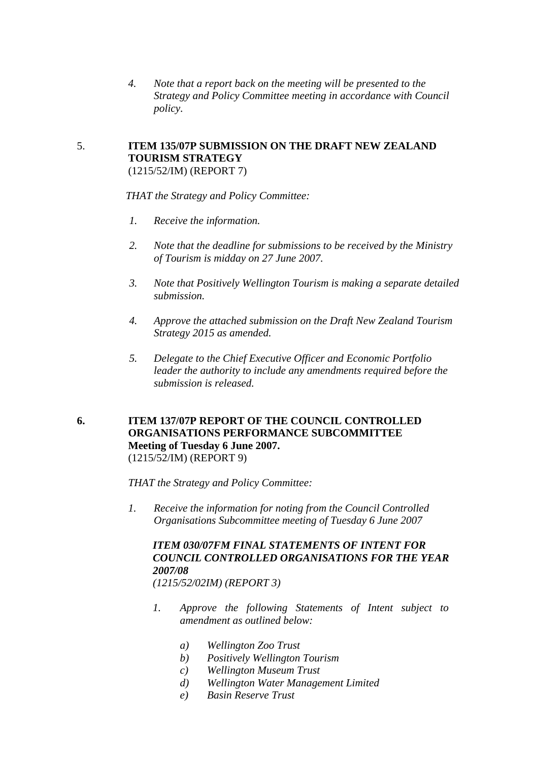*4. Note that a report back on the meeting will be presented to the Strategy and Policy Committee meeting in accordance with Council policy.* 

#### 5. **ITEM 135/07P SUBMISSION ON THE DRAFT NEW ZEALAND TOURISM STRATEGY** (1215/52/IM) (REPORT 7)

*THAT the Strategy and Policy Committee:*

- *1. Receive the information.*
- *2. Note that the deadline for submissions to be received by the Ministry of Tourism is midday on 27 June 2007.*
- *3. Note that Positively Wellington Tourism is making a separate detailed submission.*
- *4. Approve the attached submission on the Draft New Zealand Tourism Strategy 2015 as amended.*
- *5. Delegate to the Chief Executive Officer and Economic Portfolio leader the authority to include any amendments required before the submission is released.*

#### **6. ITEM 137/07P REPORT OF THE COUNCIL CONTROLLED ORGANISATIONS PERFORMANCE SUBCOMMITTEE Meeting of Tuesday 6 June 2007.**  (1215/52/IM) (REPORT 9)

*THAT the Strategy and Policy Committee:*

*1. Receive the information for noting from the Council Controlled Organisations Subcommittee meeting of Tuesday 6 June 2007* 

## *ITEM 030/07FM FINAL STATEMENTS OF INTENT FOR COUNCIL CONTROLLED ORGANISATIONS FOR THE YEAR 2007/08*

*(1215/52/02IM) (REPORT 3)* 

- *1. Approve the following Statements of Intent subject to amendment as outlined below:* 
	- *a) Wellington Zoo Trust*
	- *b) Positively Wellington Tourism*
	- *c) Wellington Museum Trust*
	- *d) Wellington Water Management Limited*
	- *e) Basin Reserve Trust*